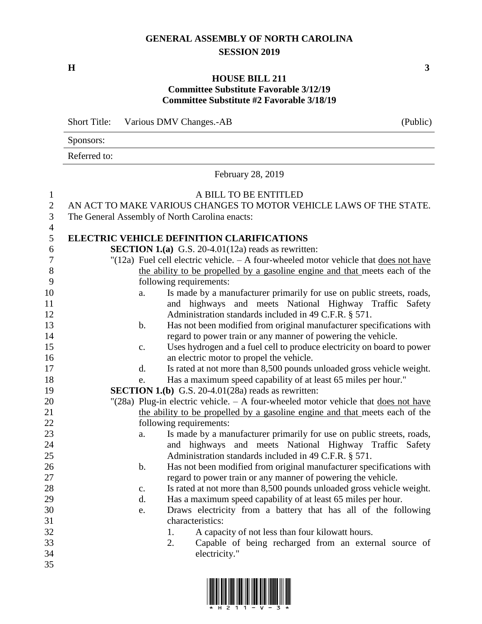## **GENERAL ASSEMBLY OF NORTH CAROLINA SESSION 2019**

**H 3**

## **HOUSE BILL 211 Committee Substitute Favorable 3/12/19 Committee Substitute #2 Favorable 3/18/19**

|              | <b>Short Title:</b><br>Various DMV Changes.-AB                                     | (Public)                                          |                                                                                                                                 |  |  |  |  |
|--------------|------------------------------------------------------------------------------------|---------------------------------------------------|---------------------------------------------------------------------------------------------------------------------------------|--|--|--|--|
|              | Sponsors:                                                                          |                                                   |                                                                                                                                 |  |  |  |  |
|              | Referred to:                                                                       |                                                   |                                                                                                                                 |  |  |  |  |
|              |                                                                                    |                                                   | February 28, 2019                                                                                                               |  |  |  |  |
| 1            |                                                                                    |                                                   | A BILL TO BE ENTITLED                                                                                                           |  |  |  |  |
| $\mathbf{2}$ | AN ACT TO MAKE VARIOUS CHANGES TO MOTOR VEHICLE LAWS OF THE STATE.                 |                                                   |                                                                                                                                 |  |  |  |  |
| 3<br>4       | The General Assembly of North Carolina enacts:                                     |                                                   |                                                                                                                                 |  |  |  |  |
| 5            |                                                                                    | <b>ELECTRIC VEHICLE DEFINITION CLARIFICATIONS</b> |                                                                                                                                 |  |  |  |  |
| 6            |                                                                                    |                                                   | <b>SECTION 1.(a)</b> G.S. 20-4.01(12a) reads as rewritten:                                                                      |  |  |  |  |
| 7            |                                                                                    |                                                   | "(12a) Fuel cell electric vehicle. $- A$ four-wheeled motor vehicle that does not have                                          |  |  |  |  |
| $8\,$        |                                                                                    |                                                   | the ability to be propelled by a gasoline engine and that meets each of the                                                     |  |  |  |  |
| 9            |                                                                                    |                                                   | following requirements:                                                                                                         |  |  |  |  |
| 10<br>11     |                                                                                    | a.                                                | Is made by a manufacturer primarily for use on public streets, roads,<br>and highways and meets National Highway Traffic Safety |  |  |  |  |
| 12           |                                                                                    |                                                   | Administration standards included in 49 C.F.R. § 571.                                                                           |  |  |  |  |
| 13           |                                                                                    | $\mathbf b$ .                                     | Has not been modified from original manufacturer specifications with                                                            |  |  |  |  |
| 14           |                                                                                    |                                                   | regard to power train or any manner of powering the vehicle.                                                                    |  |  |  |  |
| 15           |                                                                                    | c.                                                | Uses hydrogen and a fuel cell to produce electricity on board to power                                                          |  |  |  |  |
| 16           |                                                                                    |                                                   | an electric motor to propel the vehicle.                                                                                        |  |  |  |  |
| 17           |                                                                                    | d.                                                | Is rated at not more than 8,500 pounds unloaded gross vehicle weight.                                                           |  |  |  |  |
| 18           |                                                                                    | e.                                                | Has a maximum speed capability of at least 65 miles per hour."                                                                  |  |  |  |  |
| 19           |                                                                                    |                                                   | <b>SECTION 1.(b)</b> G.S. 20-4.01(28a) reads as rewritten:                                                                      |  |  |  |  |
| 20           | "(28a) Plug-in electric vehicle. - A four-wheeled motor vehicle that does not have |                                                   |                                                                                                                                 |  |  |  |  |
| 21           |                                                                                    |                                                   | the ability to be propelled by a gasoline engine and that meets each of the                                                     |  |  |  |  |
| 22           |                                                                                    |                                                   | following requirements:                                                                                                         |  |  |  |  |
| 23           |                                                                                    | a.                                                | Is made by a manufacturer primarily for use on public streets, roads,                                                           |  |  |  |  |
| 24           |                                                                                    |                                                   | and highways and meets National Highway Traffic Safety                                                                          |  |  |  |  |
| 25           |                                                                                    |                                                   | Administration standards included in 49 C.F.R. § 571.                                                                           |  |  |  |  |
| $26\,$       |                                                                                    | b.                                                | Has not been modified from original manufacturer specifications with                                                            |  |  |  |  |
| 27           |                                                                                    |                                                   | regard to power train or any manner of powering the vehicle.                                                                    |  |  |  |  |
| 28           |                                                                                    | $\mathbf{c}$ .                                    | Is rated at not more than 8,500 pounds unloaded gross vehicle weight.                                                           |  |  |  |  |
| 29           |                                                                                    | d.                                                | Has a maximum speed capability of at least 65 miles per hour.                                                                   |  |  |  |  |
| 30           |                                                                                    | e.                                                | Draws electricity from a battery that has all of the following                                                                  |  |  |  |  |
| 31<br>32     |                                                                                    |                                                   | characteristics:<br>1.                                                                                                          |  |  |  |  |
| 33           |                                                                                    |                                                   | A capacity of not less than four kilowatt hours.<br>Capable of being recharged from an external source of<br>2.                 |  |  |  |  |
| 34           |                                                                                    |                                                   | electricity."                                                                                                                   |  |  |  |  |
| 35           |                                                                                    |                                                   |                                                                                                                                 |  |  |  |  |

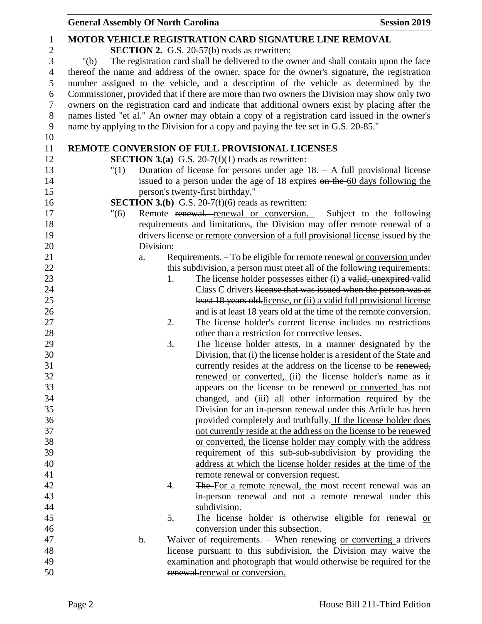|                | <b>General Assembly Of North Carolina</b> |                                                                                                | <b>Session 2019</b> |
|----------------|-------------------------------------------|------------------------------------------------------------------------------------------------|---------------------|
| 1              |                                           | <b>MOTOR VEHICLE REGISTRATION CARD SIGNATURE LINE REMOVAL</b>                                  |                     |
| $\overline{c}$ |                                           | <b>SECTION 2.</b> G.S. 20-57(b) reads as rewritten:                                            |                     |
| 3              | " $(b)$                                   | The registration card shall be delivered to the owner and shall contain upon the face          |                     |
| $\overline{4}$ |                                           | thereof the name and address of the owner, space for the owner's signature, the registration   |                     |
| 5              |                                           | number assigned to the vehicle, and a description of the vehicle as determined by the          |                     |
| 6              |                                           | Commissioner, provided that if there are more than two owners the Division may show only two   |                     |
| $\overline{7}$ |                                           | owners on the registration card and indicate that additional owners exist by placing after the |                     |
| $8\phantom{1}$ |                                           | names listed "et al." An owner may obtain a copy of a registration card issued in the owner's  |                     |
| 9              |                                           | name by applying to the Division for a copy and paying the fee set in G.S. 20-85."             |                     |
| 10             |                                           |                                                                                                |                     |
| 11             |                                           | REMOTE CONVERSION OF FULL PROVISIONAL LICENSES                                                 |                     |
| 12             |                                           | <b>SECTION 3.(a)</b> G.S. 20-7(f)(1) reads as rewritten:                                       |                     |
| 13             | "(1)                                      | Duration of license for persons under age $18. - A$ full provisional license                   |                     |
| 14             |                                           | issued to a person under the age of 18 expires on the 60 days following the                    |                     |
| 15             |                                           | person's twenty-first birthday."                                                               |                     |
| 16             |                                           | <b>SECTION 3.(b)</b> G.S. 20-7(f)(6) reads as rewritten:                                       |                     |
| 17             | "(6)                                      | Remote renewal. renewal or conversion. - Subject to the following                              |                     |
| 18             |                                           | requirements and limitations, the Division may offer remote renewal of a                       |                     |
| 19             |                                           | drivers license or remote conversion of a full provisional license issued by the               |                     |
| 20             | Division:                                 |                                                                                                |                     |
| 21             | a.                                        | Requirements. - To be eligible for remote renewal or conversion under                          |                     |
| 22             |                                           | this subdivision, a person must meet all of the following requirements:                        |                     |
| 23             | 1.                                        | The license holder possesses either (i) a valid, unexpired valid                               |                     |
| 24             |                                           | Class C drivers license that was issued when the person was at                                 |                     |
| 25             |                                           | least 18 years old-license, or (ii) a valid full provisional license                           |                     |
| 26             |                                           | and is at least 18 years old at the time of the remote conversion.                             |                     |
| 27             | 2.                                        | The license holder's current license includes no restrictions                                  |                     |
| 28             |                                           | other than a restriction for corrective lenses.                                                |                     |
| 29             | 3.                                        | The license holder attests, in a manner designated by the                                      |                     |
| 30             |                                           | Division, that (i) the license holder is a resident of the State and                           |                     |
| 31             |                                           | currently resides at the address on the license to be renewed,                                 |                     |
| 32             |                                           | renewed or converted, (ii) the license holder's name as it                                     |                     |
| 33             |                                           | appears on the license to be renewed or converted has not                                      |                     |
| 34             |                                           | changed, and (iii) all other information required by the                                       |                     |
| 35             |                                           | Division for an in-person renewal under this Article has been                                  |                     |
| 36             |                                           | provided completely and truthfully. If the license holder does                                 |                     |
| 37             |                                           | not currently reside at the address on the license to be renewed                               |                     |
| 38             |                                           | or converted, the license holder may comply with the address                                   |                     |
| 39             |                                           | requirement of this sub-sub-subdivision by providing the                                       |                     |
| 40             |                                           | address at which the license holder resides at the time of the                                 |                     |
| 41             |                                           | remote renewal or conversion request.                                                          |                     |
| 42             | 4.                                        | The For a remote renewal, the most recent renewal was an                                       |                     |
| 43             |                                           | in-person renewal and not a remote renewal under this                                          |                     |
| 44             |                                           | subdivision.                                                                                   |                     |
| 45             | 5.                                        | The license holder is otherwise eligible for renewal or                                        |                     |
| 46             |                                           | conversion under this subsection.                                                              |                     |
| 47             | $\mathbf b$ .                             | Waiver of requirements. $-$ When renewing or converting a drivers                              |                     |
| 48             |                                           | license pursuant to this subdivision, the Division may waive the                               |                     |
| 49             |                                           | examination and photograph that would otherwise be required for the                            |                     |
| 50             |                                           | renewal.renewal or conversion.                                                                 |                     |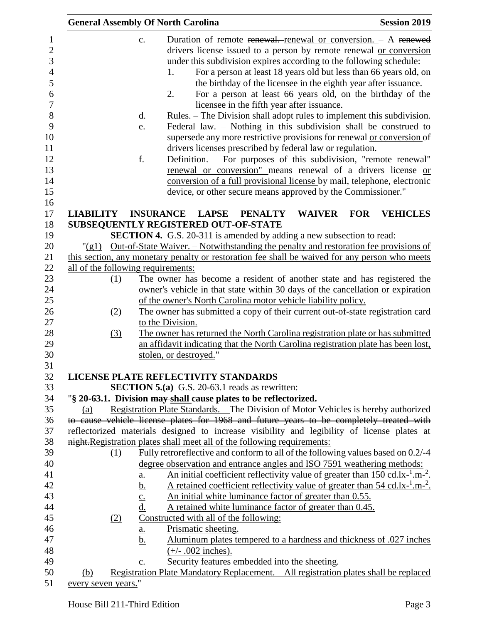|                     |     | <b>General Assembly Of North Carolina</b>                                                                                                                                                                                                                                                                                                                                                                                                                                                                                                                                                                                                                                                                                                                                                                 | <b>Session 2019</b> |
|---------------------|-----|-----------------------------------------------------------------------------------------------------------------------------------------------------------------------------------------------------------------------------------------------------------------------------------------------------------------------------------------------------------------------------------------------------------------------------------------------------------------------------------------------------------------------------------------------------------------------------------------------------------------------------------------------------------------------------------------------------------------------------------------------------------------------------------------------------------|---------------------|
|                     |     | Duration of remote renewal. renewal or conversion. - A renewed<br>$C_{\bullet}$<br>drivers license issued to a person by remote renewal or conversion<br>under this subdivision expires according to the following schedule:<br>For a person at least 18 years old but less than 66 years old, on<br>1.<br>the birthday of the licensee in the eighth year after issuance.<br>2.<br>For a person at least 66 years old, on the birthday of the<br>licensee in the fifth year after issuance.<br>Rules. – The Division shall adopt rules to implement this subdivision.<br>$\mathbf{d}$ .<br>Federal law. – Nothing in this subdivision shall be construed to<br>e.<br>supersede any more restrictive provisions for renewal or conversion of<br>drivers licenses prescribed by federal law or regulation. |                     |
|                     |     | f.<br>Definition. - For purposes of this subdivision, "remote renewal"<br>renewal or conversion" means renewal of a drivers license or<br>conversion of a full provisional license by mail, telephone, electronic<br>device, or other secure means approved by the Commissioner."                                                                                                                                                                                                                                                                                                                                                                                                                                                                                                                         |                     |
| <b>LIABILITY</b>    |     | <b>INSURANCE LAPSE</b><br><b>WAIVER</b><br><b>FOR</b><br><b>PENALTY</b>                                                                                                                                                                                                                                                                                                                                                                                                                                                                                                                                                                                                                                                                                                                                   | <b>VEHICLES</b>     |
|                     |     | SUBSEQUENTLY REGISTERED OUT-OF-STATE                                                                                                                                                                                                                                                                                                                                                                                                                                                                                                                                                                                                                                                                                                                                                                      |                     |
|                     |     | <b>SECTION 4.</b> G.S. 20-311 is amended by adding a new subsection to read:                                                                                                                                                                                                                                                                                                                                                                                                                                                                                                                                                                                                                                                                                                                              |                     |
|                     |     | "(g1) Out-of-State Waiver. – Notwithstanding the penalty and restoration fee provisions of                                                                                                                                                                                                                                                                                                                                                                                                                                                                                                                                                                                                                                                                                                                |                     |
|                     |     | this section, any monetary penalty or restoration fee shall be waived for any person who meets                                                                                                                                                                                                                                                                                                                                                                                                                                                                                                                                                                                                                                                                                                            |                     |
|                     |     | all of the following requirements:                                                                                                                                                                                                                                                                                                                                                                                                                                                                                                                                                                                                                                                                                                                                                                        |                     |
|                     | (1) | The owner has become a resident of another state and has registered the                                                                                                                                                                                                                                                                                                                                                                                                                                                                                                                                                                                                                                                                                                                                   |                     |
|                     |     | owner's vehicle in that state within 30 days of the cancellation or expiration                                                                                                                                                                                                                                                                                                                                                                                                                                                                                                                                                                                                                                                                                                                            |                     |
|                     |     | of the owner's North Carolina motor vehicle liability policy.                                                                                                                                                                                                                                                                                                                                                                                                                                                                                                                                                                                                                                                                                                                                             |                     |
|                     | (2) | The owner has submitted a copy of their current out-of-state registration card                                                                                                                                                                                                                                                                                                                                                                                                                                                                                                                                                                                                                                                                                                                            |                     |
|                     |     | to the Division.                                                                                                                                                                                                                                                                                                                                                                                                                                                                                                                                                                                                                                                                                                                                                                                          |                     |
|                     | (3) | The owner has returned the North Carolina registration plate or has submitted                                                                                                                                                                                                                                                                                                                                                                                                                                                                                                                                                                                                                                                                                                                             |                     |
|                     |     | an affidavit indicating that the North Carolina registration plate has been lost,                                                                                                                                                                                                                                                                                                                                                                                                                                                                                                                                                                                                                                                                                                                         |                     |
|                     |     | stolen, or destroyed."                                                                                                                                                                                                                                                                                                                                                                                                                                                                                                                                                                                                                                                                                                                                                                                    |                     |
|                     |     | LICENSE PLATE REFLECTIVITY STANDARDS                                                                                                                                                                                                                                                                                                                                                                                                                                                                                                                                                                                                                                                                                                                                                                      |                     |
|                     |     | <b>SECTION 5.(a)</b> G.S. 20-63.1 reads as rewritten:                                                                                                                                                                                                                                                                                                                                                                                                                                                                                                                                                                                                                                                                                                                                                     |                     |
|                     |     | "§ 20-63.1. Division may shall cause plates to be reflectorized.                                                                                                                                                                                                                                                                                                                                                                                                                                                                                                                                                                                                                                                                                                                                          |                     |
| (a)                 |     | Registration Plate Standards. - The Division of Motor Vehicles is hereby authorized                                                                                                                                                                                                                                                                                                                                                                                                                                                                                                                                                                                                                                                                                                                       |                     |
|                     |     | to cause vehicle license plates for 1968 and future years to be completely treated with                                                                                                                                                                                                                                                                                                                                                                                                                                                                                                                                                                                                                                                                                                                   |                     |
|                     |     | reflectorized materials designed to increase visibility and legibility of license plates at                                                                                                                                                                                                                                                                                                                                                                                                                                                                                                                                                                                                                                                                                                               |                     |
|                     |     | night. Registration plates shall meet all of the following requirements:                                                                                                                                                                                                                                                                                                                                                                                                                                                                                                                                                                                                                                                                                                                                  |                     |
|                     | (1) | Fully retroreflective and conform to all of the following values based on 0.2/-4                                                                                                                                                                                                                                                                                                                                                                                                                                                                                                                                                                                                                                                                                                                          |                     |
|                     |     | degree observation and entrance angles and ISO 7591 weathering methods:                                                                                                                                                                                                                                                                                                                                                                                                                                                                                                                                                                                                                                                                                                                                   |                     |
|                     |     |                                                                                                                                                                                                                                                                                                                                                                                                                                                                                                                                                                                                                                                                                                                                                                                                           |                     |
|                     |     | <u>An initial coefficient reflectivity value of greater than 150 cd.lx-<math>^1</math>.m-<math>^2</math>.</u><br><u>a.</u><br>A retained coefficient reflectivity value of greater than $54 \text{ cd}.\text{lx}^{-1}.\text{m}^{-2}$ .                                                                                                                                                                                                                                                                                                                                                                                                                                                                                                                                                                    |                     |
|                     |     | <u>b.</u>                                                                                                                                                                                                                                                                                                                                                                                                                                                                                                                                                                                                                                                                                                                                                                                                 |                     |
|                     |     | An initial white luminance factor of greater than 0.55.<br>$\frac{c}{d}$                                                                                                                                                                                                                                                                                                                                                                                                                                                                                                                                                                                                                                                                                                                                  |                     |
|                     |     | A retained white luminance factor of greater than 0.45.                                                                                                                                                                                                                                                                                                                                                                                                                                                                                                                                                                                                                                                                                                                                                   |                     |
|                     | (2) | Constructed with all of the following:                                                                                                                                                                                                                                                                                                                                                                                                                                                                                                                                                                                                                                                                                                                                                                    |                     |
|                     |     | Prismatic sheeting.<br><u>a.</u>                                                                                                                                                                                                                                                                                                                                                                                                                                                                                                                                                                                                                                                                                                                                                                          |                     |
|                     |     | Aluminum plates tempered to a hardness and thickness of .027 inches<br>b.                                                                                                                                                                                                                                                                                                                                                                                                                                                                                                                                                                                                                                                                                                                                 |                     |
|                     |     | $(+/- .002$ inches).                                                                                                                                                                                                                                                                                                                                                                                                                                                                                                                                                                                                                                                                                                                                                                                      |                     |
|                     |     | Security features embedded into the sheeting.<br>$\underline{c}$ .                                                                                                                                                                                                                                                                                                                                                                                                                                                                                                                                                                                                                                                                                                                                        |                     |
| (b)                 |     | Registration Plate Mandatory Replacement. - All registration plates shall be replaced                                                                                                                                                                                                                                                                                                                                                                                                                                                                                                                                                                                                                                                                                                                     |                     |
| every seven years." |     |                                                                                                                                                                                                                                                                                                                                                                                                                                                                                                                                                                                                                                                                                                                                                                                                           |                     |